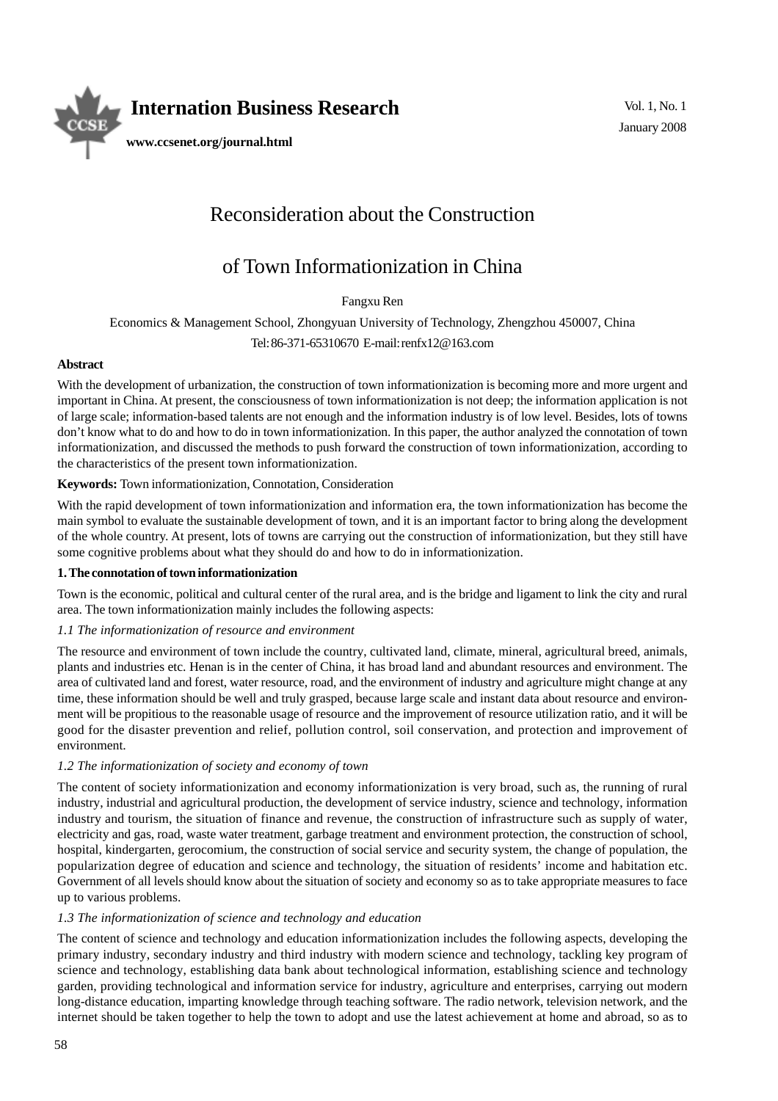

# Reconsideration about the Construction

# of Town Informationization in China

Fangxu Ren

Economics & Management School, Zhongyuan University of Technology, Zhengzhou 450007, China

Tel: 86-371-65310670 E-mail: renfx12@163.com

## **Abstract**

With the development of urbanization, the construction of town informationization is becoming more and more urgent and important in China. At present, the consciousness of town informationization is not deep; the information application is not of large scale; information-based talents are not enough and the information industry is of low level. Besides, lots of towns don't know what to do and how to do in town informationization. In this paper, the author analyzed the connotation of town informationization, and discussed the methods to push forward the construction of town informationization, according to the characteristics of the present town informationization.

## **Keywords:** Town informationization, Connotation, Consideration

With the rapid development of town informationization and information era, the town informationization has become the main symbol to evaluate the sustainable development of town, and it is an important factor to bring along the development of the whole country. At present, lots of towns are carrying out the construction of informationization, but they still have some cognitive problems about what they should do and how to do in informationization.

#### **1. The connotation of town informationization**

Town is the economic, political and cultural center of the rural area, and is the bridge and ligament to link the city and rural area. The town informationization mainly includes the following aspects:

# *1.1 The informationization of resource and environment*

The resource and environment of town include the country, cultivated land, climate, mineral, agricultural breed, animals, plants and industries etc. Henan is in the center of China, it has broad land and abundant resources and environment. The area of cultivated land and forest, water resource, road, and the environment of industry and agriculture might change at any time, these information should be well and truly grasped, because large scale and instant data about resource and environment will be propitious to the reasonable usage of resource and the improvement of resource utilization ratio, and it will be good for the disaster prevention and relief, pollution control, soil conservation, and protection and improvement of environment.

#### *1.2 The informationization of society and economy of town*

The content of society informationization and economy informationization is very broad, such as, the running of rural industry, industrial and agricultural production, the development of service industry, science and technology, information industry and tourism, the situation of finance and revenue, the construction of infrastructure such as supply of water, electricity and gas, road, waste water treatment, garbage treatment and environment protection, the construction of school, hospital, kindergarten, gerocomium, the construction of social service and security system, the change of population, the popularization degree of education and science and technology, the situation of residents' income and habitation etc. Government of all levels should know about the situation of society and economy so as to take appropriate measures to face up to various problems.

# *1.3 The informationization of science and technology and education*

The content of science and technology and education informationization includes the following aspects, developing the primary industry, secondary industry and third industry with modern science and technology, tackling key program of science and technology, establishing data bank about technological information, establishing science and technology garden, providing technological and information service for industry, agriculture and enterprises, carrying out modern long-distance education, imparting knowledge through teaching software. The radio network, television network, and the internet should be taken together to help the town to adopt and use the latest achievement at home and abroad, so as to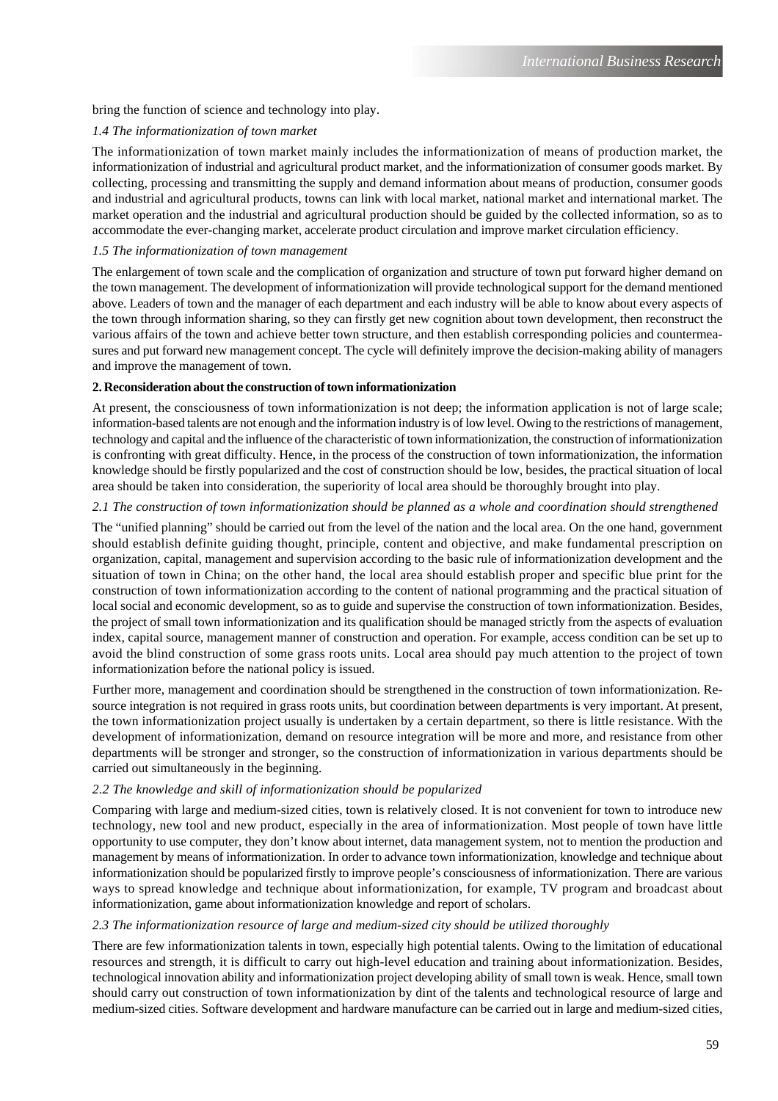#### bring the function of science and technology into play.

#### *1.4 The informationization of town market*

The informationization of town market mainly includes the informationization of means of production market, the informationization of industrial and agricultural product market, and the informationization of consumer goods market. By collecting, processing and transmitting the supply and demand information about means of production, consumer goods and industrial and agricultural products, towns can link with local market, national market and international market. The market operation and the industrial and agricultural production should be guided by the collected information, so as to accommodate the ever-changing market, accelerate product circulation and improve market circulation efficiency.

#### *1.5 The informationization of town management*

The enlargement of town scale and the complication of organization and structure of town put forward higher demand on the town management. The development of informationization will provide technological support for the demand mentioned above. Leaders of town and the manager of each department and each industry will be able to know about every aspects of the town through information sharing, so they can firstly get new cognition about town development, then reconstruct the various affairs of the town and achieve better town structure, and then establish corresponding policies and countermeasures and put forward new management concept. The cycle will definitely improve the decision-making ability of managers and improve the management of town.

## **2. Reconsideration about the construction of town informationization**

At present, the consciousness of town informationization is not deep; the information application is not of large scale; information-based talents are not enough and the information industry is of low level. Owing to the restrictions of management, technology and capital and the influence of the characteristic of town informationization, the construction of informationization is confronting with great difficulty. Hence, in the process of the construction of town informationization, the information knowledge should be firstly popularized and the cost of construction should be low, besides, the practical situation of local area should be taken into consideration, the superiority of local area should be thoroughly brought into play.

## *2.1 The construction of town informationization should be planned as a whole and coordination should strengthened*

The "unified planning" should be carried out from the level of the nation and the local area. On the one hand, government should establish definite guiding thought, principle, content and objective, and make fundamental prescription on organization, capital, management and supervision according to the basic rule of informationization development and the situation of town in China; on the other hand, the local area should establish proper and specific blue print for the construction of town informationization according to the content of national programming and the practical situation of local social and economic development, so as to guide and supervise the construction of town informationization. Besides, the project of small town informationization and its qualification should be managed strictly from the aspects of evaluation index, capital source, management manner of construction and operation. For example, access condition can be set up to avoid the blind construction of some grass roots units. Local area should pay much attention to the project of town informationization before the national policy is issued.

Further more, management and coordination should be strengthened in the construction of town informationization. Resource integration is not required in grass roots units, but coordination between departments is very important. At present, the town informationization project usually is undertaken by a certain department, so there is little resistance. With the development of informationization, demand on resource integration will be more and more, and resistance from other departments will be stronger and stronger, so the construction of informationization in various departments should be carried out simultaneously in the beginning.

#### *2.2 The knowledge and skill of informationization should be popularized*

Comparing with large and medium-sized cities, town is relatively closed. It is not convenient for town to introduce new technology, new tool and new product, especially in the area of informationization. Most people of town have little opportunity to use computer, they don't know about internet, data management system, not to mention the production and management by means of informationization. In order to advance town informationization, knowledge and technique about informationization should be popularized firstly to improve people's consciousness of informationization. There are various ways to spread knowledge and technique about informationization, for example, TV program and broadcast about informationization, game about informationization knowledge and report of scholars.

# *2.3 The informationization resource of large and medium-sized city should be utilized thoroughly*

There are few informationization talents in town, especially high potential talents. Owing to the limitation of educational resources and strength, it is difficult to carry out high-level education and training about informationization. Besides, technological innovation ability and informationization project developing ability of small town is weak. Hence, small town should carry out construction of town informationization by dint of the talents and technological resource of large and medium-sized cities. Software development and hardware manufacture can be carried out in large and medium-sized cities,